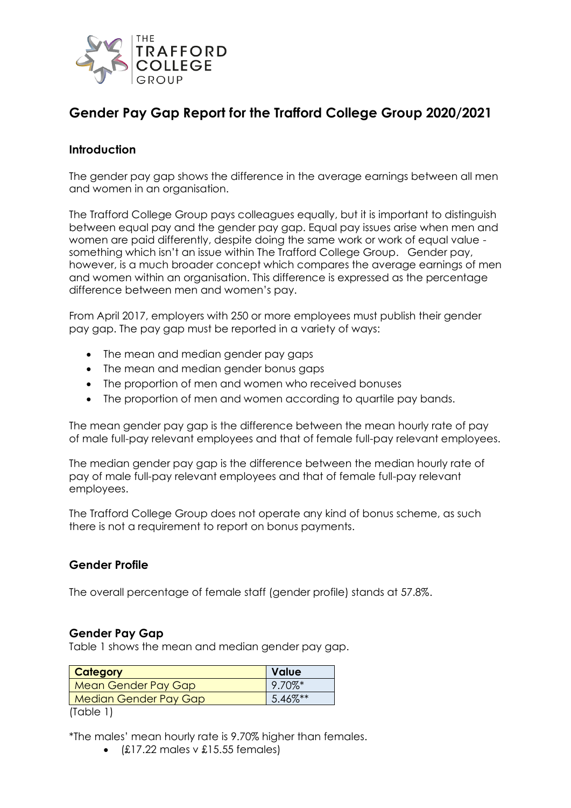

# **Gender Pay Gap Report for the Trafford College Group 2020/2021**

#### **Introduction**

The gender pay gap shows the difference in the average earnings between all men and women in an organisation.

The Trafford College Group pays colleagues equally, but it is important to distinguish between equal pay and the gender pay gap. Equal pay issues arise when men and women are paid differently, despite doing the same work or work of equal value something which isn't an issue within The Trafford College Group. Gender pay, however, is a much broader concept which compares the average earnings of men and women within an organisation. This difference is expressed as the percentage difference between men and women's pay.

From April 2017, employers with 250 or more employees must publish their gender pay gap. The pay gap must be reported in a variety of ways:

- The mean and median gender pay gaps
- The mean and median gender bonus gaps
- The proportion of men and women who received bonuses
- The proportion of men and women according to quartile pay bands.

The mean gender pay gap is the difference between the mean hourly rate of pay of male full-pay relevant employees and that of female full-pay relevant employees.

The median gender pay gap is the difference between the median hourly rate of pay of male full-pay relevant employees and that of female full-pay relevant employees.

The Trafford College Group does not operate any kind of bonus scheme, as such there is not a requirement to report on bonus payments.

#### **Gender Profile**

The overall percentage of female staff (gender profile) stands at 57.8%.

#### **Gender Pay Gap**

Table 1 shows the mean and median gender pay gap.

| <b>Value</b>          | <b>Category</b>              |
|-----------------------|------------------------------|
| $9.70\%$ <sup>*</sup> | Mean Gender Pay Gap          |
| 5.46%**               | <b>Median Gender Pay Gap</b> |
|                       | $1 - 1 - 1$                  |

(Table 1)

\*The males' mean hourly rate is 9.70% higher than females.

•  $(E17.22 \text{ males} \vee E15.55 \text{ females})$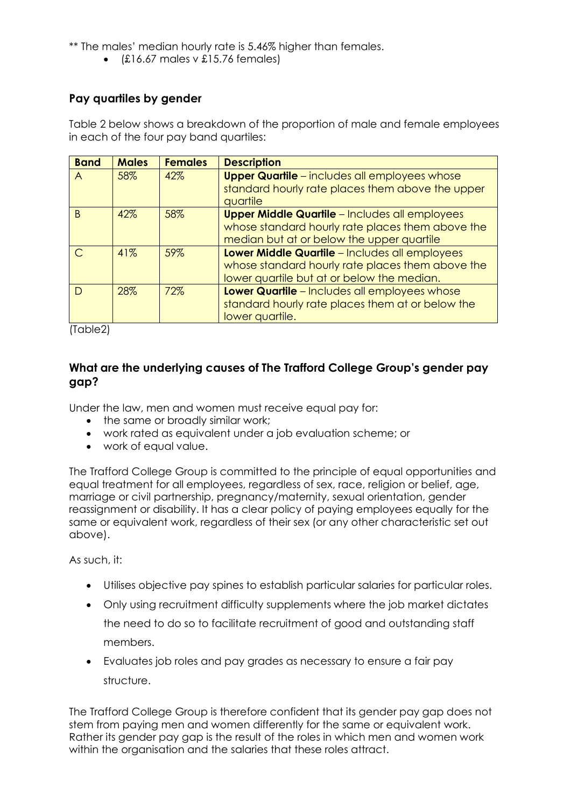\*\* The males' median hourly rate is 5.46% higher than females.

 $\bullet$  (£16.67 males v £15.76 females)

# **Pay quartiles by gender**

Table 2 below shows a breakdown of the proportion of male and female employees in each of the four pay band quartiles:

| <b>Band</b>    | <b>Males</b> | <b>Females</b> | <b>Description</b>                                    |
|----------------|--------------|----------------|-------------------------------------------------------|
| $\overline{A}$ | 58%          | 42%            | <b>Upper Quartile</b> - includes all employees whose  |
|                |              |                | standard hourly rate places them above the upper      |
|                |              |                | quartile                                              |
| B              | 42%          | 58%            | <b>Upper Middle Quartile</b> - Includes all employees |
|                |              |                | whose standard hourly rate places them above the      |
|                |              |                | median but at or below the upper quartile             |
|                | 41%          | 59%            | Lower Middle Quartile - Includes all employees        |
|                |              |                | whose standard hourly rate places them above the      |
|                |              |                | lower quartile but at or below the median.            |
|                | 28%          | 72%            | Lower Quartile - Includes all employees whose         |
|                |              |                | standard hourly rate places them at or below the      |
|                |              |                | lower quartile.                                       |

(Table2)

### **What are the underlying causes of The Trafford College Group's gender pay gap?**

Under the law, men and women must receive equal pay for:

- the same or broadly similar work;
- work rated as equivalent under a job evaluation scheme; or
- work of equal value.

The Trafford College Group is committed to the principle of equal opportunities and equal treatment for all employees, regardless of sex, race, religion or belief, age, marriage or civil partnership, pregnancy/maternity, sexual orientation, gender reassignment or disability. It has a clear policy of paying employees equally for the same or equivalent work, regardless of their sex (or any other characteristic set out above).

As such, it:

- Utilises objective pay spines to establish particular salaries for particular roles.
- Only using recruitment difficulty supplements where the job market dictates the need to do so to facilitate recruitment of good and outstanding staff members.
- Evaluates job roles and pay grades as necessary to ensure a fair pay structure.

The Trafford College Group is therefore confident that its gender pay gap does not stem from paying men and women differently for the same or equivalent work. Rather its gender pay gap is the result of the roles in which men and women work within the organisation and the salaries that these roles attract.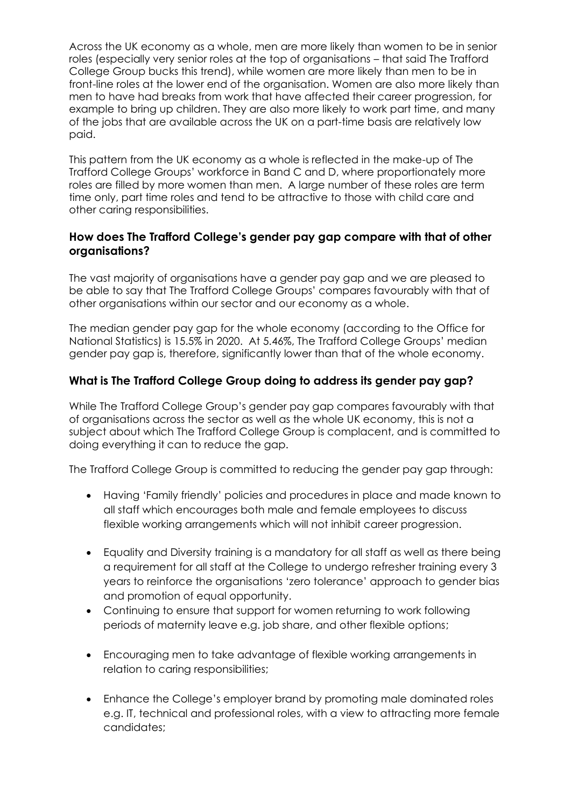Across the UK economy as a whole, men are more likely than women to be in senior roles (especially very senior roles at the top of organisations – that said The Trafford College Group bucks this trend), while women are more likely than men to be in front-line roles at the lower end of the organisation. Women are also more likely than men to have had breaks from work that have affected their career progression, for example to bring up children. They are also more likely to work part time, and many of the jobs that are available across the UK on a part-time basis are relatively low paid.

This pattern from the UK economy as a whole is reflected in the make-up of The Trafford College Groups' workforce in Band C and D, where proportionately more roles are filled by more women than men. A large number of these roles are term time only, part time roles and tend to be attractive to those with child care and other caring responsibilities.

### **How does The Trafford College's gender pay gap compare with that of other organisations?**

The vast majority of organisations have a gender pay gap and we are pleased to be able to say that The Trafford College Groups' compares favourably with that of other organisations within our sector and our economy as a whole.

The median gender pay gap for the whole economy (according to the Office for National Statistics) is 15.5% in 2020. At 5.46%, The Trafford College Groups' median gender pay gap is, therefore, significantly lower than that of the whole economy.

# **What is The Trafford College Group doing to address its gender pay gap?**

While The Trafford College Group's gender pay gap compares favourably with that of organisations across the sector as well as the whole UK economy, this is not a subject about which The Trafford College Group is complacent, and is committed to doing everything it can to reduce the gap.

The Trafford College Group is committed to reducing the gender pay gap through:

- Having 'Family friendly' policies and procedures in place and made known to all staff which encourages both male and female employees to discuss flexible working arrangements which will not inhibit career progression.
- Equality and Diversity training is a mandatory for all staff as well as there being a requirement for all staff at the College to undergo refresher training every 3 years to reinforce the organisations 'zero tolerance' approach to gender bias and promotion of equal opportunity.
- Continuing to ensure that support for women returning to work following periods of maternity leave e.g. job share, and other flexible options;
- Encouraging men to take advantage of flexible working arrangements in relation to caring responsibilities;
- Enhance the College's employer brand by promoting male dominated roles e.g. IT, technical and professional roles, with a view to attracting more female candidates;